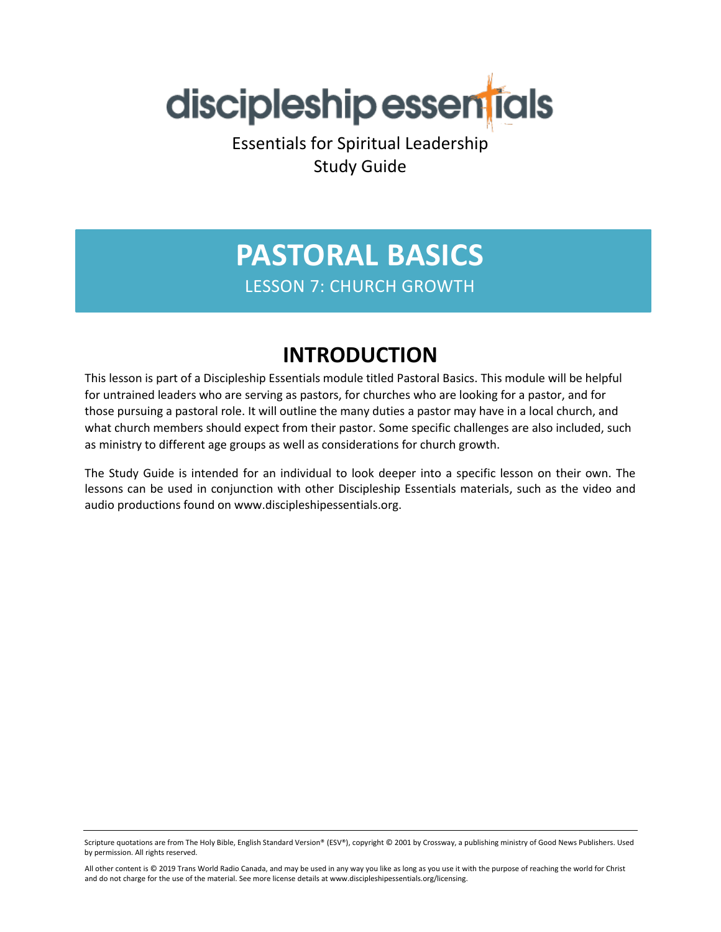

Essentials for Spiritual Leadership Study Guide

## **PASTORAL BASICS** LESSON 7: CHURCH GROWTH

### **INTRODUCTION**

This lesson is part of a Discipleship Essentials module titled Pastoral Basics. This module will be helpful for untrained leaders who are serving as pastors, for churches who are looking for a pastor, and for those pursuing a pastoral role. It will outline the many duties a pastor may have in a local church, and what church members should expect from their pastor. Some specific challenges are also included, such as ministry to different age groups as well as considerations for church growth.

The Study Guide is intended for an individual to look deeper into a specific lesson on their own. The lessons can be used in conjunction with other Discipleship Essentials materials, such as the video and audio productions found on www.discipleshipessentials.org.

Scripture quotations are from The Holy Bible, English Standard Version® (ESV®), copyright © 2001 by Crossway, a publishing ministry of Good News Publishers. Used by permission. All rights reserved.

All other content is © 2019 Trans World Radio Canada, and may be used in any way you like as long as you use it with the purpose of reaching the world for Christ and do not charge for the use of the material. See more license details at www.discipleshipessentials.org/licensing.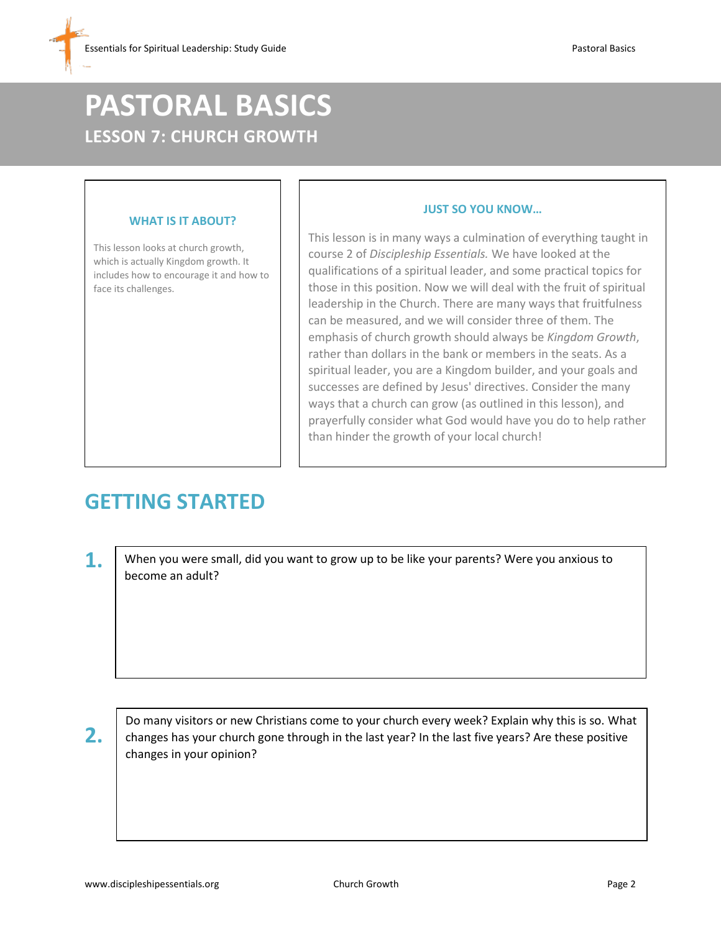# **PASTORAL BASICS LESSON 7: CHURCH GROWTH**

#### **WHAT IS IT ABOUT?**

This lesson looks at church growth, which is actually Kingdom growth. It includes how to encourage it and how to face its challenges.

#### **JUST SO YOU KNOW…**

This lesson is in many ways a culmination of everything taught in course 2 of *Discipleship Essentials.* We have looked at the qualifications of a spiritual leader, and some practical topics for those in this position. Now we will deal with the fruit of spiritual leadership in the Church. There are many ways that fruitfulness can be measured, and we will consider three of them. The emphasis of church growth should always be *Kingdom Growth*, rather than dollars in the bank or members in the seats. As a spiritual leader, you are a Kingdom builder, and your goals and successes are defined by Jesus' directives. Consider the many ways that a church can grow (as outlined in this lesson), and prayerfully consider what God would have you do to help rather than hinder the growth of your local church!

### **GETTING STARTED**

**1.** When you were small, did you want to grow up to be like your parents? Were you anxious to become an adult?

**2.**

Do many visitors or new Christians come to your church every week? Explain why this is so. What changes has your church gone through in the last year? In the last five years? Are these positive changes in your opinion?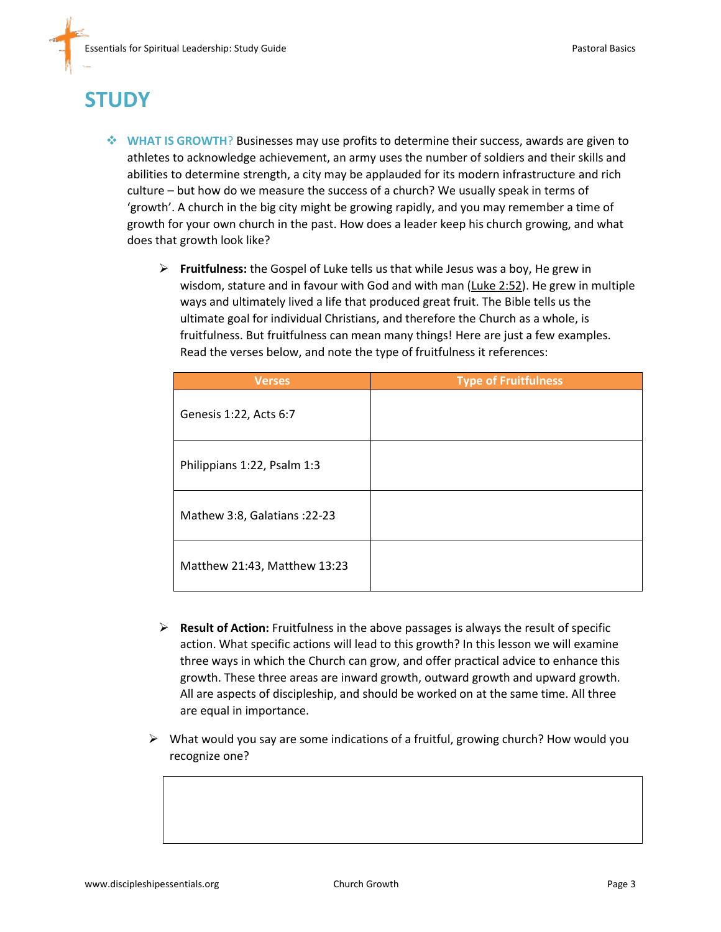## **STUDY**

- **WHAT IS GROWTH**? Businesses may use profits to determine their success, awards are given to athletes to acknowledge achievement, an army uses the number of soldiers and their skills and abilities to determine strength, a city may be applauded for its modern infrastructure and rich culture – but how do we measure the success of a church? We usually speak in terms of 'growth'. A church in the big city might be growing rapidly, and you may remember a time of growth for your own church in the past. How does a leader keep his church growing, and what does that growth look like?
	- **Fruitfulness:** the Gospel of Luke tells us that while Jesus was a boy, He grew in wisdom, stature and in favour with God and with man (Luke 2:52). He grew in multiple ways and ultimately lived a life that produced great fruit. The Bible tells us the ultimate goal for individual Christians, and therefore the Church as a whole, is fruitfulness. But fruitfulness can mean many things! Here are just a few examples. Read the verses below, and note the type of fruitfulness it references:

| <b>Verses</b>                 | <b>Type of Fruitfulness</b> |
|-------------------------------|-----------------------------|
| Genesis 1:22, Acts 6:7        |                             |
| Philippians 1:22, Psalm 1:3   |                             |
| Mathew 3:8, Galatians : 22-23 |                             |
| Matthew 21:43, Matthew 13:23  |                             |

- **Result of Action:** Fruitfulness in the above passages is always the result of specific action. What specific actions will lead to this growth? In this lesson we will examine three ways in which the Church can grow, and offer practical advice to enhance this growth. These three areas are inward growth, outward growth and upward growth. All are aspects of discipleship, and should be worked on at the same time. All three are equal in importance.
- $\triangleright$  What would you say are some indications of a fruitful, growing church? How would you recognize one?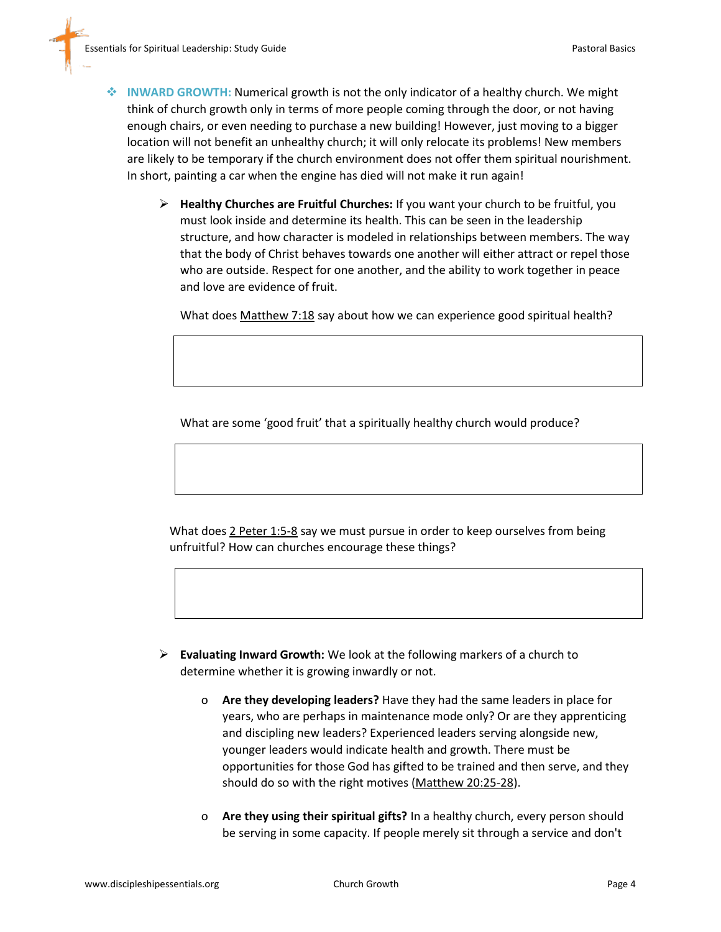- **INWARD GROWTH:** Numerical growth is not the only indicator of a healthy church. We might think of church growth only in terms of more people coming through the door, or not having enough chairs, or even needing to purchase a new building! However, just moving to a bigger location will not benefit an unhealthy church; it will only relocate its problems! New members are likely to be temporary if the church environment does not offer them spiritual nourishment. In short, painting a car when the engine has died will not make it run again!
	- **Healthy Churches are Fruitful Churches:** If you want your church to be fruitful, you must look inside and determine its health. This can be seen in the leadership structure, and how character is modeled in relationships between members. The way that the body of Christ behaves towards one another will either attract or repel those who are outside. Respect for one another, and the ability to work together in peace and love are evidence of fruit.

What does Matthew 7:18 say about how we can experience good spiritual health?

What are some 'good fruit' that a spiritually healthy church would produce?

What does 2 Peter 1:5-8 say we must pursue in order to keep ourselves from being unfruitful? How can churches encourage these things?

- **Evaluating Inward Growth:** We look at the following markers of a church to determine whether it is growing inwardly or not.
	- o **Are they developing leaders?** Have they had the same leaders in place for years, who are perhaps in maintenance mode only? Or are they apprenticing and discipling new leaders? Experienced leaders serving alongside new, younger leaders would indicate health and growth. There must be opportunities for those God has gifted to be trained and then serve, and they should do so with the right motives (Matthew 20:25-28).
	- o **Are they using their spiritual gifts?** In a healthy church, every person should be serving in some capacity. If people merely sit through a service and don't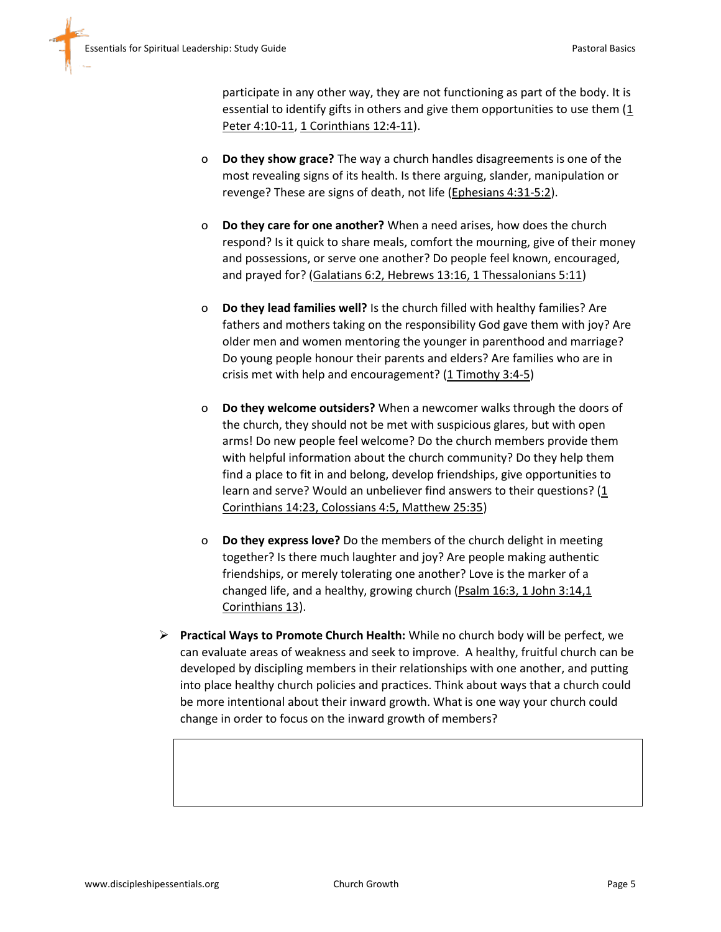participate in any other way, they are not functioning as part of the body. It is essential to identify gifts in others and give them opportunities to use them  $(1)$ Peter 4:10-11, 1 Corinthians 12:4-11).

- o **Do they show grace?** The way a church handles disagreements is one of the most revealing signs of its health. Is there arguing, slander, manipulation or revenge? These are signs of death, not life (Ephesians 4:31-5:2).
- o **Do they care for one another?** When a need arises, how does the church respond? Is it quick to share meals, comfort the mourning, give of their money and possessions, or serve one another? Do people feel known, encouraged, and prayed for? (Galatians 6:2, Hebrews 13:16, 1 Thessalonians 5:11)
- o **Do they lead families well?** Is the church filled with healthy families? Are fathers and mothers taking on the responsibility God gave them with joy? Are older men and women mentoring the younger in parenthood and marriage? Do young people honour their parents and elders? Are families who are in crisis met with help and encouragement? (1 Timothy 3:4-5)
- o **Do they welcome outsiders?** When a newcomer walks through the doors of the church, they should not be met with suspicious glares, but with open arms! Do new people feel welcome? Do the church members provide them with helpful information about the church community? Do they help them find a place to fit in and belong, develop friendships, give opportunities to learn and serve? Would an unbeliever find answers to their questions?  $(1$ Corinthians 14:23, Colossians 4:5, Matthew 25:35)
- o **Do they express love?** Do the members of the church delight in meeting together? Is there much laughter and joy? Are people making authentic friendships, or merely tolerating one another? Love is the marker of a changed life, and a healthy, growing church (Psalm 16:3, 1 John 3:14,1 Corinthians 13).
- **Practical Ways to Promote Church Health:** While no church body will be perfect, we can evaluate areas of weakness and seek to improve. A healthy, fruitful church can be developed by discipling members in their relationships with one another, and putting into place healthy church policies and practices. Think about ways that a church could be more intentional about their inward growth. What is one way your church could change in order to focus on the inward growth of members?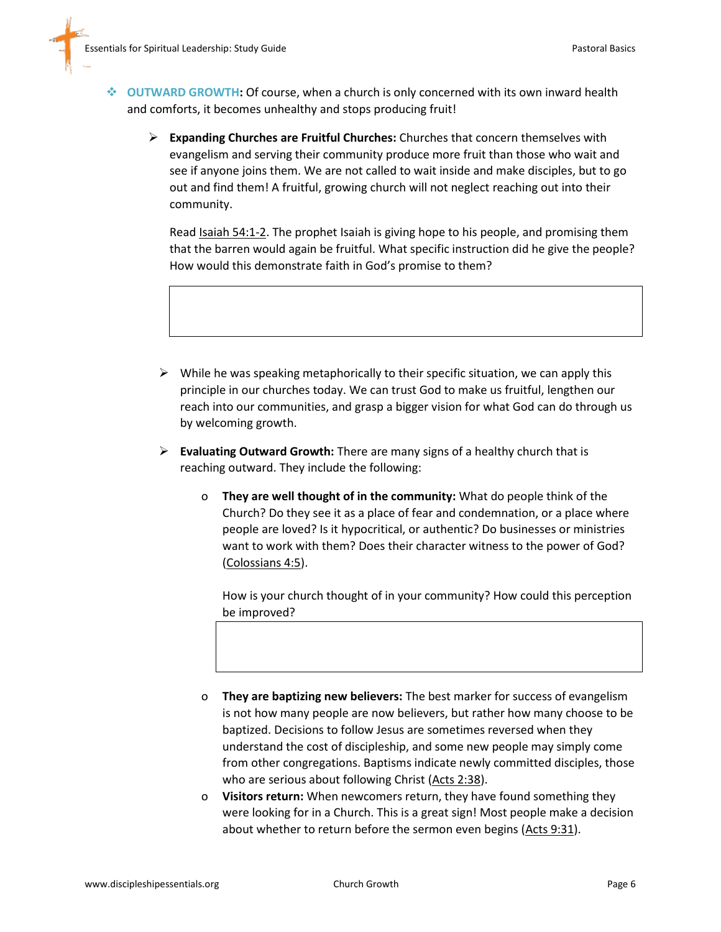- **OUTWARD GROWTH:** Of course, when a church is only concerned with its own inward health and comforts, it becomes unhealthy and stops producing fruit!
	- **Expanding Churches are Fruitful Churches:** Churches that concern themselves with evangelism and serving their community produce more fruit than those who wait and see if anyone joins them. We are not called to wait inside and make disciples, but to go out and find them! A fruitful, growing church will not neglect reaching out into their community.

Read **Isaiah 54:1-2**. The prophet Isaiah is giving hope to his people, and promising them that the barren would again be fruitful. What specific instruction did he give the people? How would this demonstrate faith in God's promise to them?

- $\triangleright$  While he was speaking metaphorically to their specific situation, we can apply this principle in our churches today. We can trust God to make us fruitful, lengthen our reach into our communities, and grasp a bigger vision for what God can do through us by welcoming growth.
- **Evaluating Outward Growth:** There are many signs of a healthy church that is reaching outward. They include the following:
	- o **They are well thought of in the community:** What do people think of the Church? Do they see it as a place of fear and condemnation, or a place where people are loved? Is it hypocritical, or authentic? Do businesses or ministries want to work with them? Does their character witness to the power of God? (Colossians 4:5).

How is your church thought of in your community? How could this perception be improved?

- o **They are baptizing new believers:** The best marker for success of evangelism is not how many people are now believers, but rather how many choose to be baptized. Decisions to follow Jesus are sometimes reversed when they understand the cost of discipleship, and some new people may simply come from other congregations. Baptisms indicate newly committed disciples, those who are serious about following Christ (Acts 2:38).
- o **Visitors return:** When newcomers return, they have found something they were looking for in a Church. This is a great sign! Most people make a decision about whether to return before the sermon even begins (Acts 9:31).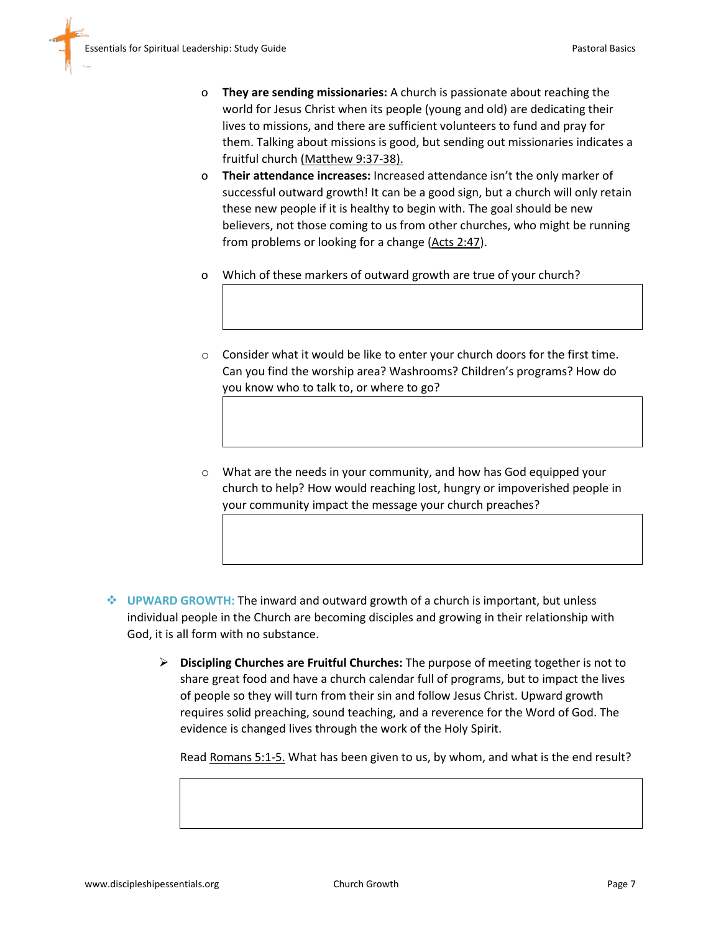- o **They are sending missionaries:** A church is passionate about reaching the world for Jesus Christ when its people (young and old) are dedicating their lives to missions, and there are sufficient volunteers to fund and pray for them. Talking about missions is good, but sending out missionaries indicates a fruitful church (Matthew 9:37-38).
- o **Their attendance increases:** Increased attendance isn't the only marker of successful outward growth! It can be a good sign, but a church will only retain these new people if it is healthy to begin with. The goal should be new believers, not those coming to us from other churches, who might be running from problems or looking for a change (Acts 2:47).
- o Which of these markers of outward growth are true of your church?
- $\circ$  Consider what it would be like to enter your church doors for the first time. Can you find the worship area? Washrooms? Children's programs? How do you know who to talk to, or where to go?
- o What are the needs in your community, and how has God equipped your church to help? How would reaching lost, hungry or impoverished people in your community impact the message your church preaches?
- **UPWARD GROWTH:** The inward and outward growth of a church is important, but unless individual people in the Church are becoming disciples and growing in their relationship with God, it is all form with no substance.
	- **Discipling Churches are Fruitful Churches:** The purpose of meeting together is not to share great food and have a church calendar full of programs, but to impact the lives of people so they will turn from their sin and follow Jesus Christ. Upward growth requires solid preaching, sound teaching, and a reverence for the Word of God. The evidence is changed lives through the work of the Holy Spirit.

Read Romans 5:1-5. What has been given to us, by whom, and what is the end result?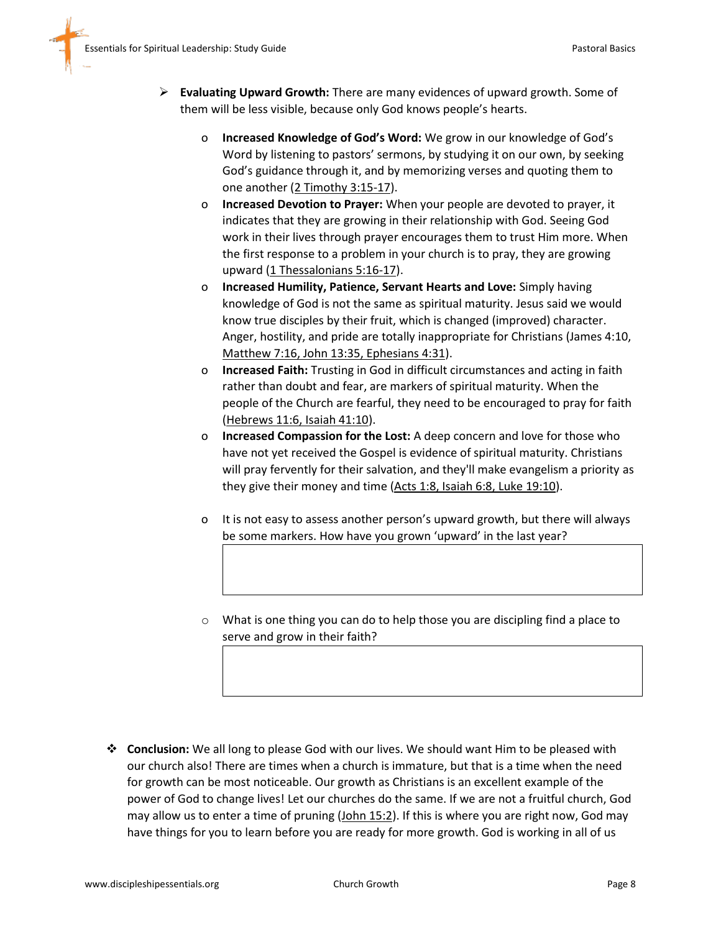- **Evaluating Upward Growth:** There are many evidences of upward growth. Some of them will be less visible, because only God knows people's hearts.
	- o **Increased Knowledge of God's Word:** We grow in our knowledge of God's Word by listening to pastors' sermons, by studying it on our own, by seeking God's guidance through it, and by memorizing verses and quoting them to one another (2 Timothy 3:15-17).
	- o **Increased Devotion to Prayer:** When your people are devoted to prayer, it indicates that they are growing in their relationship with God. Seeing God work in their lives through prayer encourages them to trust Him more. When the first response to a problem in your church is to pray, they are growing upward (1 Thessalonians 5:16-17).
	- o **Increased Humility, Patience, Servant Hearts and Love:** Simply having knowledge of God is not the same as spiritual maturity. Jesus said we would know true disciples by their fruit, which is changed (improved) character. Anger, hostility, and pride are totally inappropriate for Christians (James 4:10, Matthew 7:16, John 13:35, Ephesians 4:31).
	- o **Increased Faith:** Trusting in God in difficult circumstances and acting in faith rather than doubt and fear, are markers of spiritual maturity. When the people of the Church are fearful, they need to be encouraged to pray for faith (Hebrews 11:6, Isaiah 41:10).
	- o **Increased Compassion for the Lost:** A deep concern and love for those who have not yet received the Gospel is evidence of spiritual maturity. Christians will pray fervently for their salvation, and they'll make evangelism a priority as they give their money and time (Acts 1:8, Isaiah 6:8, Luke 19:10).
	- o It is not easy to assess another person's upward growth, but there will always be some markers. How have you grown 'upward' in the last year?
	- o What is one thing you can do to help those you are discipling find a place to serve and grow in their faith?

 **Conclusion:** We all long to please God with our lives. We should want Him to be pleased with our church also! There are times when a church is immature, but that is a time when the need for growth can be most noticeable. Our growth as Christians is an excellent example of the power of God to change lives! Let our churches do the same. If we are not a fruitful church, God may allow us to enter a time of pruning (John 15:2). If this is where you are right now, God may have things for you to learn before you are ready for more growth. God is working in all of us